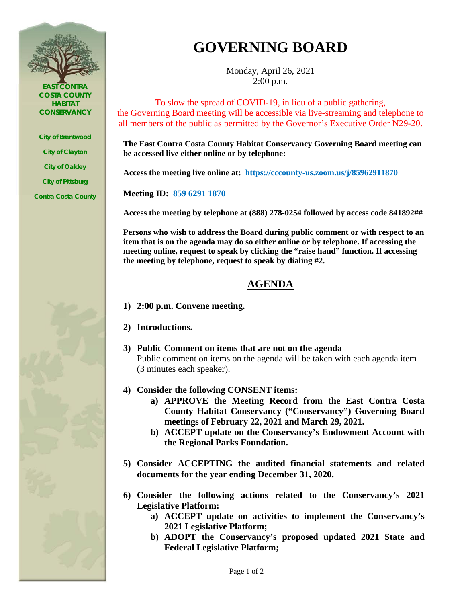

*EAST CONTRA COSTA COUNTY HABITAT CONSERVANCY*

*City of Brentwood City of Clayton*

*City of Oakley*

*City of Pittsburg*

*Contra Costa County*

## **GOVERNING BOARD**

Monday, April 26, 2021 2:00 p.m.

To slow the spread of COVID-19, in lieu of a public gathering, the Governing Board meeting will be accessible via live-streaming and telephone to all members of the public as permitted by the Governor's Executive Order N29-20.

**The East Contra Costa County Habitat Conservancy Governing Board meeting can be accessed live either online or by telephone:** 

**Access the meeting live online at: https://cccounty-us.zoom.us/j/85962911870**

**Meeting ID: 859 6291 1870**

**Access the meeting by telephone at (888) 278-0254 followed by access code 841892##**

**Persons who wish to address the Board during public comment or with respect to an item that is on the agenda may do so either online or by telephone. If accessing the meeting online, request to speak by clicking the "raise hand" function. If accessing the meeting by telephone, request to speak by dialing #2.**

## **AGENDA**

- **1) 2:00 p.m. Convene meeting.**
- **2) Introductions.**
- **3) Public Comment on items that are not on the agenda** Public comment on items on the agenda will be taken with each agenda item (3 minutes each speaker).
- **4) Consider the following CONSENT items:**
	- **a) APPROVE the Meeting Record from the East Contra Costa County Habitat Conservancy ("Conservancy") Governing Board meetings of February 22, 2021 and March 29, 2021.**
	- **b) ACCEPT update on the Conservancy's Endowment Account with the Regional Parks Foundation.**
- **5) Consider ACCEPTING the audited financial statements and related documents for the year ending December 31, 2020.**
- **6) Consider the following actions related to the Conservancy's 2021 Legislative Platform:**
	- **a) ACCEPT update on activities to implement the Conservancy's 2021 Legislative Platform;**
	- **b) ADOPT the Conservancy's proposed updated 2021 State and Federal Legislative Platform;**